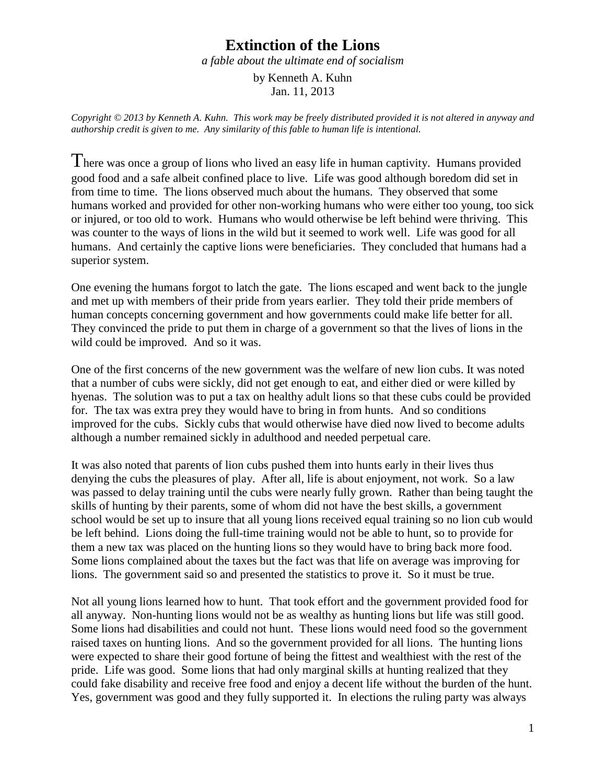## **Extinction of the Lions**

*a fable about the ultimate end of socialism*

by Kenneth A. Kuhn Jan. 11, 2013

*Copyright © 2013 by Kenneth A. Kuhn. This work may be freely distributed provided it is not altered in anyway and authorship credit is given to me. Any similarity of this fable to human life is intentional.*

There was once a group of lions who lived an easy life in human captivity. Humans provided good food and a safe albeit confined place to live. Life was good although boredom did set in from time to time. The lions observed much about the humans. They observed that some humans worked and provided for other non-working humans who were either too young, too sick or injured, or too old to work. Humans who would otherwise be left behind were thriving. This was counter to the ways of lions in the wild but it seemed to work well. Life was good for all humans. And certainly the captive lions were beneficiaries. They concluded that humans had a superior system.

One evening the humans forgot to latch the gate. The lions escaped and went back to the jungle and met up with members of their pride from years earlier. They told their pride members of human concepts concerning government and how governments could make life better for all. They convinced the pride to put them in charge of a government so that the lives of lions in the wild could be improved. And so it was.

One of the first concerns of the new government was the welfare of new lion cubs. It was noted that a number of cubs were sickly, did not get enough to eat, and either died or were killed by hyenas. The solution was to put a tax on healthy adult lions so that these cubs could be provided for. The tax was extra prey they would have to bring in from hunts. And so conditions improved for the cubs. Sickly cubs that would otherwise have died now lived to become adults although a number remained sickly in adulthood and needed perpetual care.

It was also noted that parents of lion cubs pushed them into hunts early in their lives thus denying the cubs the pleasures of play. After all, life is about enjoyment, not work. So a law was passed to delay training until the cubs were nearly fully grown. Rather than being taught the skills of hunting by their parents, some of whom did not have the best skills, a government school would be set up to insure that all young lions received equal training so no lion cub would be left behind. Lions doing the full-time training would not be able to hunt, so to provide for them a new tax was placed on the hunting lions so they would have to bring back more food. Some lions complained about the taxes but the fact was that life on average was improving for lions. The government said so and presented the statistics to prove it. So it must be true.

Not all young lions learned how to hunt. That took effort and the government provided food for all anyway. Non-hunting lions would not be as wealthy as hunting lions but life was still good. Some lions had disabilities and could not hunt. These lions would need food so the government raised taxes on hunting lions. And so the government provided for all lions. The hunting lions were expected to share their good fortune of being the fittest and wealthiest with the rest of the pride. Life was good. Some lions that had only marginal skills at hunting realized that they could fake disability and receive free food and enjoy a decent life without the burden of the hunt. Yes, government was good and they fully supported it. In elections the ruling party was always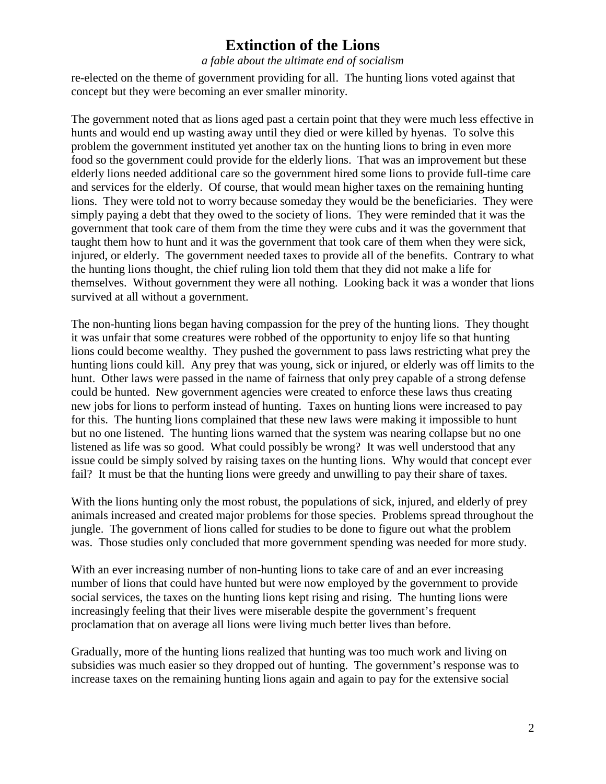## **Extinction of the Lions**

## *a fable about the ultimate end of socialism*

re-elected on the theme of government providing for all. The hunting lions voted against that concept but they were becoming an ever smaller minority.

The government noted that as lions aged past a certain point that they were much less effective in hunts and would end up wasting away until they died or were killed by hyenas. To solve this problem the government instituted yet another tax on the hunting lions to bring in even more food so the government could provide for the elderly lions. That was an improvement but these elderly lions needed additional care so the government hired some lions to provide full-time care and services for the elderly. Of course, that would mean higher taxes on the remaining hunting lions. They were told not to worry because someday they would be the beneficiaries. They were simply paying a debt that they owed to the society of lions. They were reminded that it was the government that took care of them from the time they were cubs and it was the government that taught them how to hunt and it was the government that took care of them when they were sick, injured, or elderly. The government needed taxes to provide all of the benefits. Contrary to what the hunting lions thought, the chief ruling lion told them that they did not make a life for themselves. Without government they were all nothing. Looking back it was a wonder that lions survived at all without a government.

The non-hunting lions began having compassion for the prey of the hunting lions. They thought it was unfair that some creatures were robbed of the opportunity to enjoy life so that hunting lions could become wealthy. They pushed the government to pass laws restricting what prey the hunting lions could kill. Any prey that was young, sick or injured, or elderly was off limits to the hunt. Other laws were passed in the name of fairness that only prey capable of a strong defense could be hunted. New government agencies were created to enforce these laws thus creating new jobs for lions to perform instead of hunting. Taxes on hunting lions were increased to pay for this. The hunting lions complained that these new laws were making it impossible to hunt but no one listened. The hunting lions warned that the system was nearing collapse but no one listened as life was so good. What could possibly be wrong? It was well understood that any issue could be simply solved by raising taxes on the hunting lions. Why would that concept ever fail? It must be that the hunting lions were greedy and unwilling to pay their share of taxes.

With the lions hunting only the most robust, the populations of sick, injured, and elderly of prey animals increased and created major problems for those species. Problems spread throughout the jungle. The government of lions called for studies to be done to figure out what the problem was. Those studies only concluded that more government spending was needed for more study.

With an ever increasing number of non-hunting lions to take care of and an ever increasing number of lions that could have hunted but were now employed by the government to provide social services, the taxes on the hunting lions kept rising and rising. The hunting lions were increasingly feeling that their lives were miserable despite the government's frequent proclamation that on average all lions were living much better lives than before.

Gradually, more of the hunting lions realized that hunting was too much work and living on subsidies was much easier so they dropped out of hunting. The government's response was to increase taxes on the remaining hunting lions again and again to pay for the extensive social